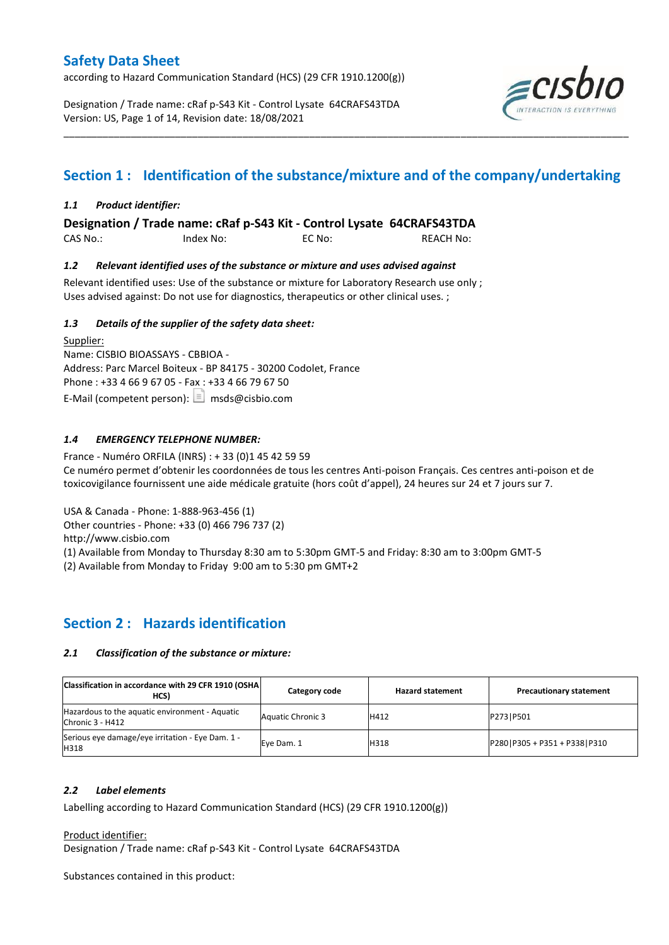according to Hazard Communication Standard (HCS) (29 CFR 1910.1200(g))

Designation / Trade name: cRaf p-S43 Kit - Control Lysate 64CRAFS43TDA Version: US, Page 1 of 14, Revision date: 18/08/2021



# **Section 1 : Identification of the substance/mixture and of the company/undertaking**

\_\_\_\_\_\_\_\_\_\_\_\_\_\_\_\_\_\_\_\_\_\_\_\_\_\_\_\_\_\_\_\_\_\_\_\_\_\_\_\_\_\_\_\_\_\_\_\_\_\_\_\_\_\_\_\_\_\_\_\_\_\_\_\_\_\_\_\_\_\_\_\_\_\_\_\_\_\_\_\_\_\_\_\_\_\_\_\_\_\_\_\_\_\_\_\_\_\_\_\_\_

#### *1.1 Product identifier:*

**Designation / Trade name: cRaf p-S43 Kit - Control Lysate 64CRAFS43TDA** 

CAS No.: Index No: EC No: REACH No:

#### *1.2 Relevant identified uses of the substance or mixture and uses advised against*

Relevant identified uses: Use of the substance or mixture for Laboratory Research use only ; Uses advised against: Do not use for diagnostics, therapeutics or other clinical uses. ;

#### *1.3 Details of the supplier of the safety data sheet:*

Supplier: Name: CISBIO BIOASSAYS - CBBIOA - Address: Parc Marcel Boiteux - BP 84175 - 30200 Codolet, France Phone : +33 4 66 9 67 05 - Fax : +33 4 66 79 67 50 E-Mail (competent person):  $\boxed{\equiv}$  msds@cisbio.com

#### *1.4 EMERGENCY TELEPHONE NUMBER:*

France - Numéro ORFILA (INRS) : + 33 (0)1 45 42 59 59 Ce numéro permet d'obtenir les coordonnées de tous les centres Anti-poison Français. Ces centres anti-poison et de toxicovigilance fournissent une aide médicale gratuite (hors coût d'appel), 24 heures sur 24 et 7 jours sur 7.

USA & Canada - Phone: 1-888-963-456 (1)

Other countries - Phone: +33 (0) 466 796 737 (2)

http://www.cisbio.com

(1) Available from Monday to Thursday 8:30 am to 5:30pm GMT-5 and Friday: 8:30 am to 3:00pm GMT-5

(2) Available from Monday to Friday 9:00 am to 5:30 pm GMT+2

# **Section 2 : Hazards identification**

#### *2.1 Classification of the substance or mixture:*

| Classification in accordance with 29 CFR 1910 (OSHA)<br>HCS)       | Category code            | <b>Hazard statement</b> | <b>Precautionary statement</b>   |
|--------------------------------------------------------------------|--------------------------|-------------------------|----------------------------------|
| Hazardous to the aquatic environment - Aquatic<br>Chronic 3 - H412 | <b>Aquatic Chronic 3</b> | H412                    | P273   P501                      |
| Serious eye damage/eye irritation - Eye Dam. 1 -<br>H318           | Eve Dam. 1               | H318                    | P280   P305 + P351 + P338   P310 |

#### *2.2 Label elements*

Labelling according to Hazard Communication Standard (HCS) (29 CFR 1910.1200(g))

Product identifier:

Designation / Trade name: cRaf p-S43 Kit - Control Lysate 64CRAFS43TDA

Substances contained in this product: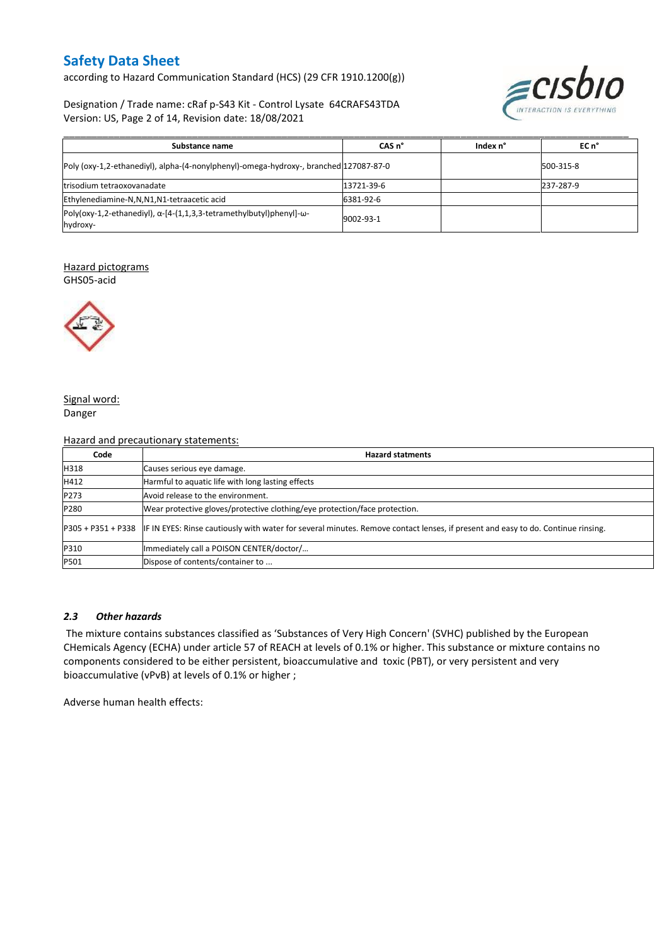according to Hazard Communication Standard (HCS) (29 CFR 1910.1200(g))

Designation / Trade name: cRaf p-S43 Kit - Control Lysate 64CRAFS43TDA Version: US, Page 2 of 14, Revision date: 18/08/2021



| Substance name                                                                                  | CAS <sub>n</sub> ° | Index n° | EC n°     |
|-------------------------------------------------------------------------------------------------|--------------------|----------|-----------|
| Poly (oxy-1,2-ethanediyl), alpha-(4-nonylphenyl)-omega-hydroxy-, branched 127087-87-0           |                    |          | 500-315-8 |
| trisodium tetraoxovanadate                                                                      | 13721-39-6         |          | 237-287-9 |
| Ethylenediamine-N,N,N1,N1-tetraacetic acid                                                      | 6381-92-6          |          |           |
| $Poly(oxy-1, 2-ethanediyl), \alpha-[4-(1, 1, 3, 3-tetramethylbutyl)phenyl]-\omega-$<br>hydroxy- | 9002-93-1          |          |           |

#### Hazard pictograms

GHS05-acid



#### Signal word: Danger

#### Hazard and precautionary statements:

| Code | <b>Hazard statments</b>                                                                                                                             |
|------|-----------------------------------------------------------------------------------------------------------------------------------------------------|
| H318 | Causes serious eye damage.                                                                                                                          |
| H412 | Harmful to aquatic life with long lasting effects                                                                                                   |
| P273 | Avoid release to the environment.                                                                                                                   |
| P280 | Wear protective gloves/protective clothing/eye protection/face protection.                                                                          |
|      | P305 + P351 + P338 IF IN EYES: Rinse cautiously with water for several minutes. Remove contact lenses, if present and easy to do. Continue rinsing. |
| P310 | Immediately call a POISON CENTER/doctor/                                                                                                            |
| P501 | Dispose of contents/container to                                                                                                                    |

#### *2.3 Other hazards*

The mixture contains substances classified as 'Substances of Very High Concern' (SVHC) published by the European CHemicals Agency (ECHA) under article 57 of REACH at levels of 0.1% or higher. This substance or mixture contains no components considered to be either persistent, bioaccumulative and toxic (PBT), or very persistent and very bioaccumulative (vPvB) at levels of 0.1% or higher ;

Adverse human health effects: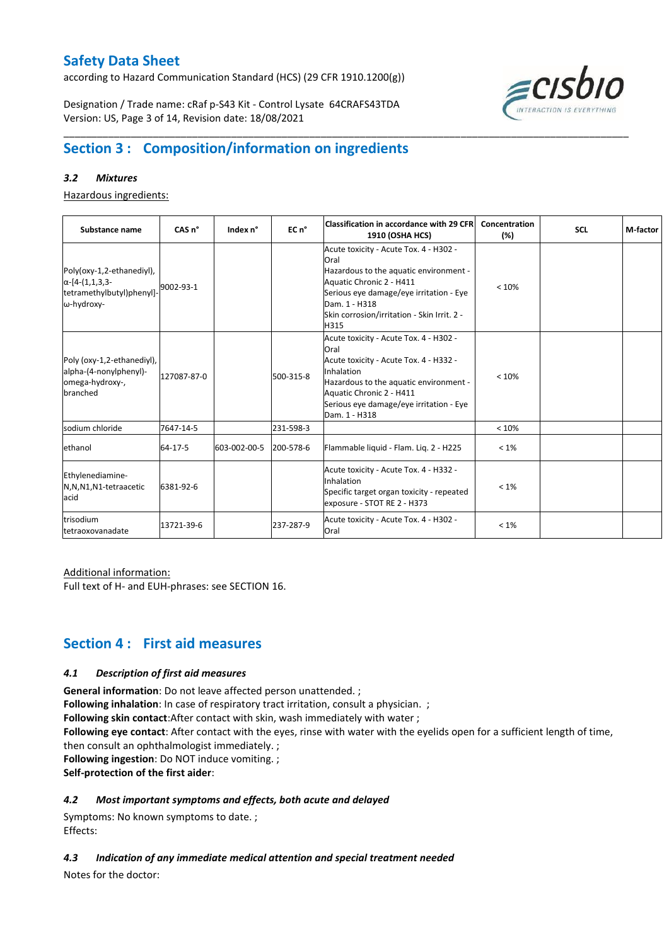according to Hazard Communication Standard (HCS) (29 CFR 1910.1200(g))

Designation / Trade name: cRaf p-S43 Kit - Control Lysate 64CRAFS43TDA Version: US, Page 3 of 14, Revision date: 18/08/2021



# **Section 3 : Composition/information on ingredients**

#### *3.2 Mixtures*

Hazardous ingredients:

| Substance name                                                                                 | CAS <sub>n</sub> ° | Index n°     | EC n°     | <b>Classification in accordance with 29 CFR</b><br>1910 (OSHA HCS)                                                                                                                                                                       | Concentration<br>(%) | <b>SCL</b> | M-factor |
|------------------------------------------------------------------------------------------------|--------------------|--------------|-----------|------------------------------------------------------------------------------------------------------------------------------------------------------------------------------------------------------------------------------------------|----------------------|------------|----------|
| Poly(oxy-1,2-ethanediyl),<br>$\alpha$ -[4-(1,1,3,3-<br>tetramethylbutyl)phenyl]-<br>ω-hydroxy- | 9002-93-1          |              |           | Acute toxicity - Acute Tox. 4 - H302 -<br>Oral<br>Hazardous to the aquatic environment -<br>Aquatic Chronic 2 - H411<br>Serious eye damage/eye irritation - Eye<br>Dam. 1 - H318<br>Skin corrosion/irritation - Skin Irrit. 2 -<br>H315  | < 10%                |            |          |
| Poly (oxy-1,2-ethanediyl),<br>alpha-(4-nonylphenyl)-<br>omega-hydroxy-,<br>branched            | 127087-87-0        |              | 500-315-8 | Acute toxicity - Acute Tox. 4 - H302 -<br>Oral<br>Acute toxicity - Acute Tox. 4 - H332 -<br>Inhalation<br>Hazardous to the aquatic environment -<br>Aquatic Chronic 2 - H411<br>Serious eye damage/eye irritation - Eye<br>Dam. 1 - H318 | < 10%                |            |          |
| sodium chloride                                                                                | 7647-14-5          |              | 231-598-3 |                                                                                                                                                                                                                                          | < 10%                |            |          |
| ethanol                                                                                        | 64-17-5            | 603-002-00-5 | 200-578-6 | Flammable liquid - Flam. Lig. 2 - H225                                                                                                                                                                                                   | $< 1\%$              |            |          |
| Ethylenediamine-<br>N,N,N1,N1-tetraacetic<br>acid                                              | 6381-92-6          |              |           | Acute toxicity - Acute Tox. 4 - H332 -<br>Inhalation<br>Specific target organ toxicity - repeated<br>exposure - STOT RE 2 - H373                                                                                                         | $< 1\%$              |            |          |
| trisodium<br>tetraoxovanadate                                                                  | 13721-39-6         |              | 237-287-9 | Acute toxicity - Acute Tox. 4 - H302 -<br>Oral                                                                                                                                                                                           | $< 1\%$              |            |          |

\_\_\_\_\_\_\_\_\_\_\_\_\_\_\_\_\_\_\_\_\_\_\_\_\_\_\_\_\_\_\_\_\_\_\_\_\_\_\_\_\_\_\_\_\_\_\_\_\_\_\_\_\_\_\_\_\_\_\_\_\_\_\_\_\_\_\_\_\_\_\_\_\_\_\_\_\_\_\_\_\_\_\_\_\_\_\_\_\_\_\_\_\_\_\_\_\_\_\_\_\_

#### Additional information:

Full text of H- and EUH-phrases: see SECTION 16.

### **Section 4 : First aid measures**

#### *4.1 Description of first aid measures*

**General information**: Do not leave affected person unattended. ;

**Following inhalation**: In case of respiratory tract irritation, consult a physician. ;

**Following skin contact**:After contact with skin, wash immediately with water ;

**Following eye contact**: After contact with the eyes, rinse with water with the eyelids open for a sufficient length of time, then consult an ophthalmologist immediately. ;

**Following ingestion**: Do NOT induce vomiting. ;

**Self-protection of the first aider**:

#### *4.2 Most important symptoms and effects, both acute and delayed*

Symptoms: No known symptoms to date. ; Effects:

*4.3 Indication of any immediate medical attention and special treatment needed*

Notes for the doctor: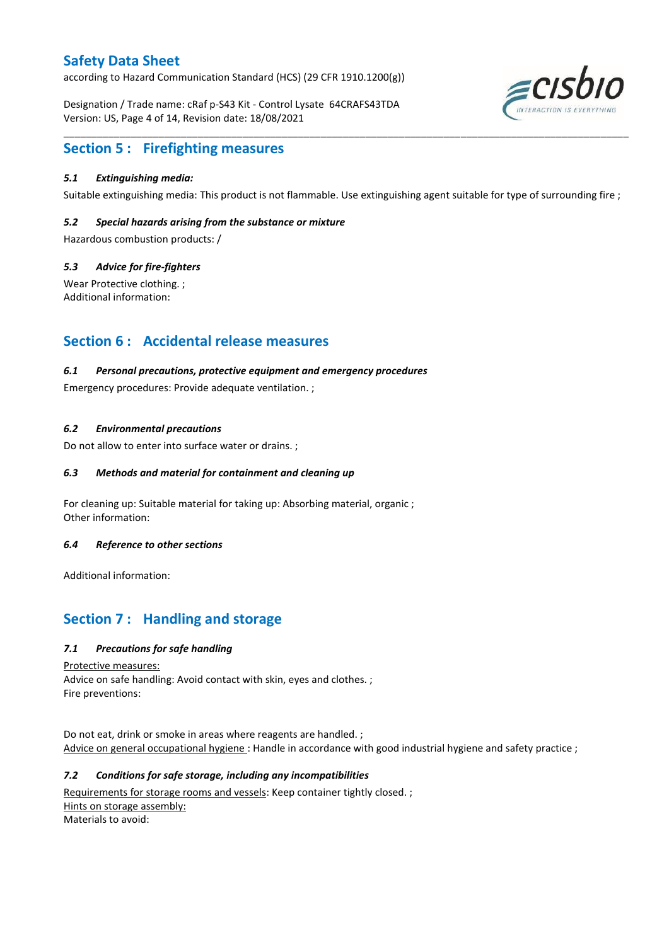according to Hazard Communication Standard (HCS) (29 CFR 1910.1200(g))

Designation / Trade name: cRaf p-S43 Kit - Control Lysate 64CRAFS43TDA Version: US, Page 4 of 14, Revision date: 18/08/2021



### **Section 5 : Firefighting measures**

#### *5.1 Extinguishing media:*

Suitable extinguishing media: This product is not flammable. Use extinguishing agent suitable for type of surrounding fire ;

\_\_\_\_\_\_\_\_\_\_\_\_\_\_\_\_\_\_\_\_\_\_\_\_\_\_\_\_\_\_\_\_\_\_\_\_\_\_\_\_\_\_\_\_\_\_\_\_\_\_\_\_\_\_\_\_\_\_\_\_\_\_\_\_\_\_\_\_\_\_\_\_\_\_\_\_\_\_\_\_\_\_\_\_\_\_\_\_\_\_\_\_\_\_\_\_\_\_\_\_\_

#### *5.2 Special hazards arising from the substance or mixture*

Hazardous combustion products: /

#### *5.3 Advice for fire-fighters*

Wear Protective clothing. ; Additional information:

### **Section 6 : Accidental release measures**

#### *6.1 Personal precautions, protective equipment and emergency procedures*

Emergency procedures: Provide adequate ventilation. ;

#### *6.2 Environmental precautions*

Do not allow to enter into surface water or drains. ;

#### *6.3 Methods and material for containment and cleaning up*

For cleaning up: Suitable material for taking up: Absorbing material, organic ; Other information:

#### *6.4 Reference to other sections*

Additional information:

# **Section 7 : Handling and storage**

#### *7.1 Precautions for safe handling*

Protective measures:

Advice on safe handling: Avoid contact with skin, eyes and clothes. ; Fire preventions:

Do not eat, drink or smoke in areas where reagents are handled. ; Advice on general occupational hygiene: Handle in accordance with good industrial hygiene and safety practice ;

#### *7.2 Conditions for safe storage, including any incompatibilities*

Requirements for storage rooms and vessels: Keep container tightly closed.; Hints on storage assembly: Materials to avoid: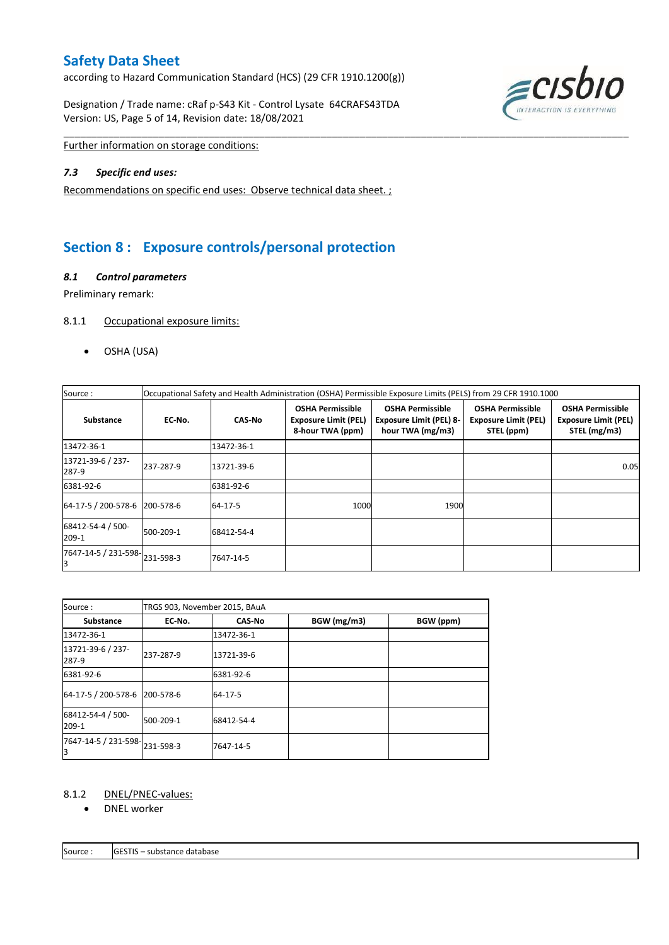according to Hazard Communication Standard (HCS) (29 CFR 1910.1200(g))

Designation / Trade name: cRaf p-S43 Kit - Control Lysate 64CRAFS43TDA Version: US, Page 5 of 14, Revision date: 18/08/2021



Further information on storage conditions:

#### *7.3 Specific end uses:*

Recommendations on specific end uses: Observe technical data sheet. ;

# **Section 8 : Exposure controls/personal protection**

#### *8.1 Control parameters*

Preliminary remark:

#### 8.1.1 Occupational exposure limits:

OSHA (USA)

| Source:                       | Occupational Safety and Health Administration (OSHA) Permissible Exposure Limits (PELS) from 29 CFR 1910.1000 |               |                                                                            |                                                                               |                                                                      |                                                                        |  |  |  |  |  |  |
|-------------------------------|---------------------------------------------------------------------------------------------------------------|---------------|----------------------------------------------------------------------------|-------------------------------------------------------------------------------|----------------------------------------------------------------------|------------------------------------------------------------------------|--|--|--|--|--|--|
| <b>Substance</b>              | EC No.                                                                                                        | <b>CAS-No</b> | <b>OSHA Permissible</b><br><b>Exposure Limit (PEL)</b><br>8-hour TWA (ppm) | <b>OSHA Permissible</b><br><b>Exposure Limit (PEL) 8-</b><br>hour TWA (mg/m3) | <b>OSHA Permissible</b><br><b>Exposure Limit (PEL)</b><br>STEL (ppm) | <b>OSHA Permissible</b><br><b>Exposure Limit (PEL)</b><br>STEL (mg/m3) |  |  |  |  |  |  |
| 13472-36-1                    |                                                                                                               | 13472-36-1    |                                                                            |                                                                               |                                                                      |                                                                        |  |  |  |  |  |  |
| 13721-39-6 / 237-<br>287-9    | 237-287-9                                                                                                     | 13721-39-6    |                                                                            |                                                                               |                                                                      | 0.05                                                                   |  |  |  |  |  |  |
| 6381-92-6                     |                                                                                                               | 6381-92-6     |                                                                            |                                                                               |                                                                      |                                                                        |  |  |  |  |  |  |
| 64-17-5 / 200-578-6 200-578-6 |                                                                                                               | 64-17-5       | 1000                                                                       | 1900                                                                          |                                                                      |                                                                        |  |  |  |  |  |  |
| 68412-54-4 / 500-<br>209-1    | 500-209-1                                                                                                     | 68412-54-4    |                                                                            |                                                                               |                                                                      |                                                                        |  |  |  |  |  |  |
| 7647-14-5 / 231-598-231-598-3 |                                                                                                               | 7647-14-5     |                                                                            |                                                                               |                                                                      |                                                                        |  |  |  |  |  |  |

\_\_\_\_\_\_\_\_\_\_\_\_\_\_\_\_\_\_\_\_\_\_\_\_\_\_\_\_\_\_\_\_\_\_\_\_\_\_\_\_\_\_\_\_\_\_\_\_\_\_\_\_\_\_\_\_\_\_\_\_\_\_\_\_\_\_\_\_\_\_\_\_\_\_\_\_\_\_\_\_\_\_\_\_\_\_\_\_\_\_\_\_\_\_\_\_\_\_\_\_\_

| Source:                         | TRGS 903, November 2015, BAuA |               |             |           |
|---------------------------------|-------------------------------|---------------|-------------|-----------|
| <b>Substance</b>                | EC No.                        | <b>CAS-No</b> | BGW (mg/m3) | BGW (ppm) |
| 13472-36-1                      |                               | 13472-36-1    |             |           |
| 13721-39-6 / 237-<br>287-9      | 237-287-9                     | 13721-39-6    |             |           |
| 6381-92-6                       |                               | 6381-92-6     |             |           |
| 64-17-5 / 200-578-6   200-578-6 |                               | 64-17-5       |             |           |
| 68412-54-4 / 500-<br>209-1      | 500-209-1                     | 68412-54-4    |             |           |
| 7647-14-5 / 231-598-<br>IЗ      | 231-598-3                     | 7647-14-5     |             |           |

#### 8.1.2 DNEL/PNEC-values:

• DNEL worker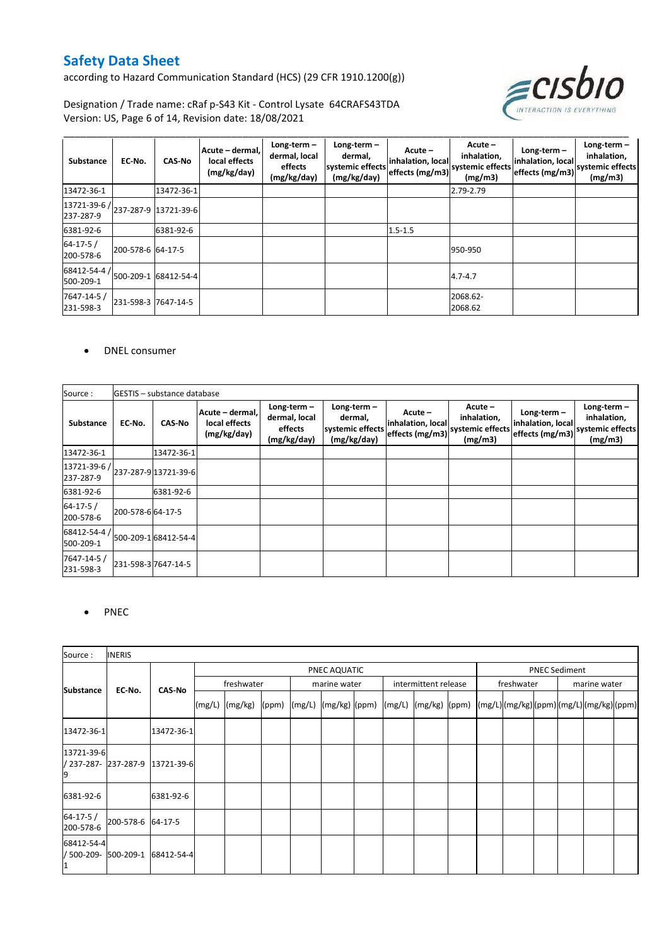according to Hazard Communication Standard (HCS) (29 CFR 1910.1200(g))



Designation / Trade name: cRaf p-S43 Kit - Control Lysate 64CRAFS43TDA Version: US, Page 6 of 14, Revision date: 18/08/2021

| Substance                   | EC-No.              | <b>CAS-No</b>        | Acute - dermal,<br>local effects<br>(mg/kg/day) | Long-term $-$<br>dermal, local<br>effects<br>(mg/kg/day) | Long-term $-$<br>dermal,<br>systemic effects<br>(mg/kg/day) | Acute -<br>inhalation, local<br>effects (mg/m3) | Acute -<br>inhalation,<br>systemic effects<br>(mg/m3) | Long-term $-$<br>inhalation, local<br>effects (mg/m3) | Long-term $-$<br>inhalation,<br>systemic effects<br>(mg/m3) |
|-----------------------------|---------------------|----------------------|-------------------------------------------------|----------------------------------------------------------|-------------------------------------------------------------|-------------------------------------------------|-------------------------------------------------------|-------------------------------------------------------|-------------------------------------------------------------|
| 13472-36-1                  |                     | 13472-36-1           |                                                 |                                                          |                                                             |                                                 | 2.79-2.79                                             |                                                       |                                                             |
| 13721-39-6 /<br>237-287-9   |                     | 237-287-9 13721-39-6 |                                                 |                                                          |                                                             |                                                 |                                                       |                                                       |                                                             |
| 6381-92-6                   |                     | 6381-92-6            |                                                 |                                                          |                                                             | $1.5 - 1.5$                                     |                                                       |                                                       |                                                             |
| $64 - 17 - 5/$<br>200-578-6 | 200-578-6 64-17-5   |                      |                                                 |                                                          |                                                             |                                                 | 950-950                                               |                                                       |                                                             |
| 68412-54-4 /<br>500-209-1   |                     | 500-209-1 68412-54-4 |                                                 |                                                          |                                                             |                                                 | $4.7 - 4.7$                                           |                                                       |                                                             |
| 7647-14-5 /<br>231-598-3    | 231-598-3 7647-14-5 |                      |                                                 |                                                          |                                                             |                                                 | 2068.62-<br>2068.62                                   |                                                       |                                                             |

#### DNEL consumer

| Source:                   |                  | <b>IGESTIS</b> - substance database |                                                 |                                                          |                                                                                                                                                       |  |                                                                           |  |                                                             |
|---------------------------|------------------|-------------------------------------|-------------------------------------------------|----------------------------------------------------------|-------------------------------------------------------------------------------------------------------------------------------------------------------|--|---------------------------------------------------------------------------|--|-------------------------------------------------------------|
| <b>Substance</b>          | EC No.           | CAS-No                              | Acute - dermal,<br>local effects<br>(mg/kg/day) | Long-term $-$<br>dermal, local<br>effects<br>(mg/kg/day) | $Acute -$<br>Long-term $-$<br>Acute -<br>inhalation,<br>dermal,<br>inhalation, local<br>systemic effects<br>effects (mg/m3)<br>(mg/kg/day)<br>(mg/m3) |  | Long-term $-$<br>inhalation, local<br>systemic effects<br>effects (mg/m3) |  | Long-term $-$<br>inhalation,<br>systemic effects<br>(mg/m3) |
| 13472-36-1                |                  | 13472-36-1                          |                                                 |                                                          |                                                                                                                                                       |  |                                                                           |  |                                                             |
| 13721-39-6 /<br>237-287-9 |                  | 237-287-9 13721-39-6                |                                                 |                                                          |                                                                                                                                                       |  |                                                                           |  |                                                             |
| 6381-92-6                 |                  | 6381-92-6                           |                                                 |                                                          |                                                                                                                                                       |  |                                                                           |  |                                                             |
| $64-17-5/$<br>200-578-6   | 200-578-664-17-5 |                                     |                                                 |                                                          |                                                                                                                                                       |  |                                                                           |  |                                                             |
| 68412-54-4<br>500-209-1   |                  | 500-209-1 68412-54-4                |                                                 |                                                          |                                                                                                                                                       |  |                                                                           |  |                                                             |
| 7647-14-5 /<br>231-598-3  |                  | 231-598-3 7647-14-5                 |                                                 |                                                          |                                                                                                                                                       |  |                                                                           |  |                                                             |

#### • PNEC

| Source:                        | <b>INERIS</b>                               |            |                    |                      |              |                      |                                                               |  |            |  |  |              |                                      |  |
|--------------------------------|---------------------------------------------|------------|--------------------|----------------------|--------------|----------------------|---------------------------------------------------------------|--|------------|--|--|--------------|--------------------------------------|--|
|                                |                                             |            |                    | <b>PNEC Sediment</b> |              |                      |                                                               |  |            |  |  |              |                                      |  |
|                                | <b>Substance</b><br>EC-No.<br><b>CAS-No</b> |            | freshwater         |                      | marine water | intermittent release |                                                               |  | freshwater |  |  | marine water |                                      |  |
|                                |                                             |            | $(mg/L)$ $(mg/kg)$ |                      |              |                      | $(ppm)$ $(mg/L)$ $(mg/kg)$ $(ppm)$ $(mg/L)$ $(mg/kg)$ $(ppm)$ |  |            |  |  |              | (mg/L)(mg/kg)(ppm)(mg/L)(mg/kg)(ppm) |  |
| 13472-36-1                     |                                             | 13472-36-1 |                    |                      |              |                      |                                                               |  |            |  |  |              |                                      |  |
| 13721-39-6<br>9                | / 237-287- 237-287-9 13721-39-6             |            |                    |                      |              |                      |                                                               |  |            |  |  |              |                                      |  |
| 6381-92-6                      |                                             | 6381-92-6  |                    |                      |              |                      |                                                               |  |            |  |  |              |                                      |  |
| $64 - 17 - 5/$<br>200-578-6    | 200-578-6 64-17-5                           |            |                    |                      |              |                      |                                                               |  |            |  |  |              |                                      |  |
| 68412-54-4<br>/ 500-209-<br>11 | 500-209-1                                   | 68412-54-4 |                    |                      |              |                      |                                                               |  |            |  |  |              |                                      |  |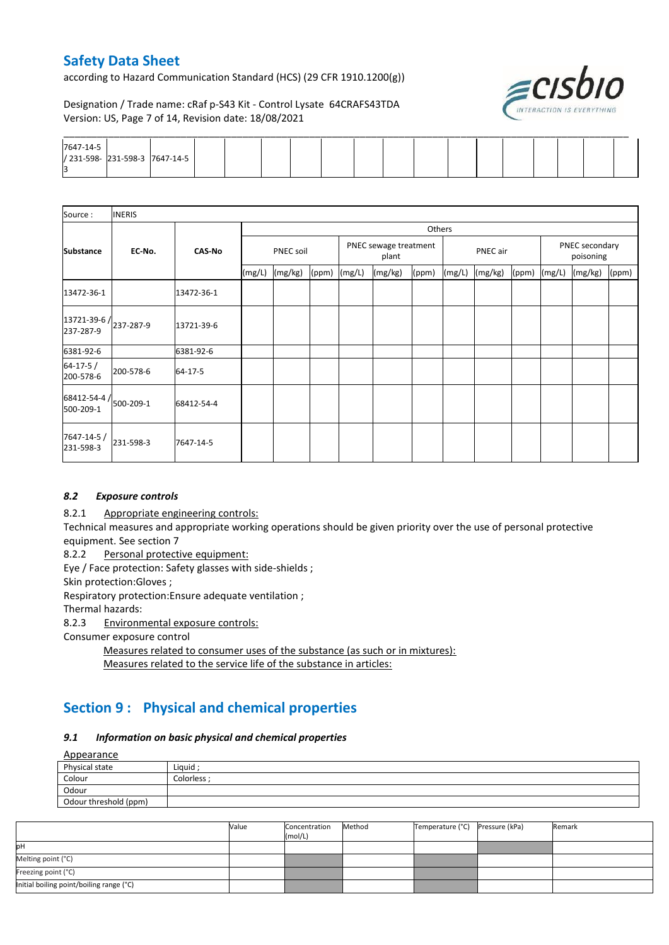according to Hazard Communication Standard (HCS) (29 CFR 1910.1200(g))



Designation / Trade name: cRaf p-S43 Kit - Control Lysate 64CRAFS43TDA Version: US, Page 7 of 14, Revision date: 18/08/2021

| 7647-14-5 |                                |  |  |  |  |  |  |  |  |
|-----------|--------------------------------|--|--|--|--|--|--|--|--|
|           | / 231-598- 231-598-3 7647-14-5 |  |  |  |  |  |  |  |  |
|           |                                |  |  |  |  |  |  |  |  |

| Source:                                         | <b>INERIS</b>           |            |           |         |       |                                |         |        |        |          |       |                             |         |       |
|-------------------------------------------------|-------------------------|------------|-----------|---------|-------|--------------------------------|---------|--------|--------|----------|-------|-----------------------------|---------|-------|
|                                                 |                         |            |           |         |       |                                |         | Others |        |          |       |                             |         |       |
| <b>Substance</b>                                | <b>CAS-No</b><br>EC-No. |            | PNEC soil |         |       | PNEC sewage treatment<br>plant |         |        |        | PNEC air |       | PNEC secondary<br>poisoning |         |       |
|                                                 |                         |            | (mg/L)    | (mg/kg) | (ppm) | (mg/L)                         | (mg/kg) | (ppm)  | (mg/L) | (mg/kg)  | (ppm) | (mg/L)                      | (mg/kg) | (ppm) |
| 13472-36-1                                      |                         | 13472-36-1 |           |         |       |                                |         |        |        |          |       |                             |         |       |
| $13721 - 39 - 6$ / $237 - 287 - 9$<br>237-287-9 |                         | 13721-39-6 |           |         |       |                                |         |        |        |          |       |                             |         |       |
| 6381-92-6                                       |                         | 6381-92-6  |           |         |       |                                |         |        |        |          |       |                             |         |       |
| $64 - 17 - 5/$<br>200-578-6                     | 200-578-6               | 64-17-5    |           |         |       |                                |         |        |        |          |       |                             |         |       |
| $68412 - 54 - 4$ / $500 - 209 - 1$<br>500-209-1 |                         | 68412-54-4 |           |         |       |                                |         |        |        |          |       |                             |         |       |
| 7647-14-5 /<br>231-598-3                        | 231-598-3               | 7647-14-5  |           |         |       |                                |         |        |        |          |       |                             |         |       |

#### *8.2 Exposure controls*

8.2.1 Appropriate engineering controls:

Technical measures and appropriate working operations should be given priority over the use of personal protective equipment. See section 7

8.2.2 Personal protective equipment:

Eye / Face protection: Safety glasses with side-shields ;

Skin protection:Gloves ;

Respiratory protection:Ensure adequate ventilation ;

Thermal hazards:

8.2.3 Environmental exposure controls:

Consumer exposure control

Measures related to consumer uses of the substance (as such or in mixtures): Measures related to the service life of the substance in articles:

# **Section 9 : Physical and chemical properties**

#### *9.1 Information on basic physical and chemical properties*

**Annearance** 

| <u>Appearance</u>     |             |
|-----------------------|-------------|
| Physical state        | Liguid      |
| Colour                | Colorless ; |
| Odour                 |             |
| Odour threshold (ppm) |             |

|                                          | Value | Concentration<br>(mol/L) | Method | Temperature (°C) | Pressure (kPa) | Remark |
|------------------------------------------|-------|--------------------------|--------|------------------|----------------|--------|
| pH                                       |       |                          |        |                  |                |        |
| Melting point (°C)                       |       |                          |        |                  |                |        |
| Freezing point (°C)                      |       |                          |        |                  |                |        |
| Initial boiling point/boiling range (°C) |       |                          |        |                  |                |        |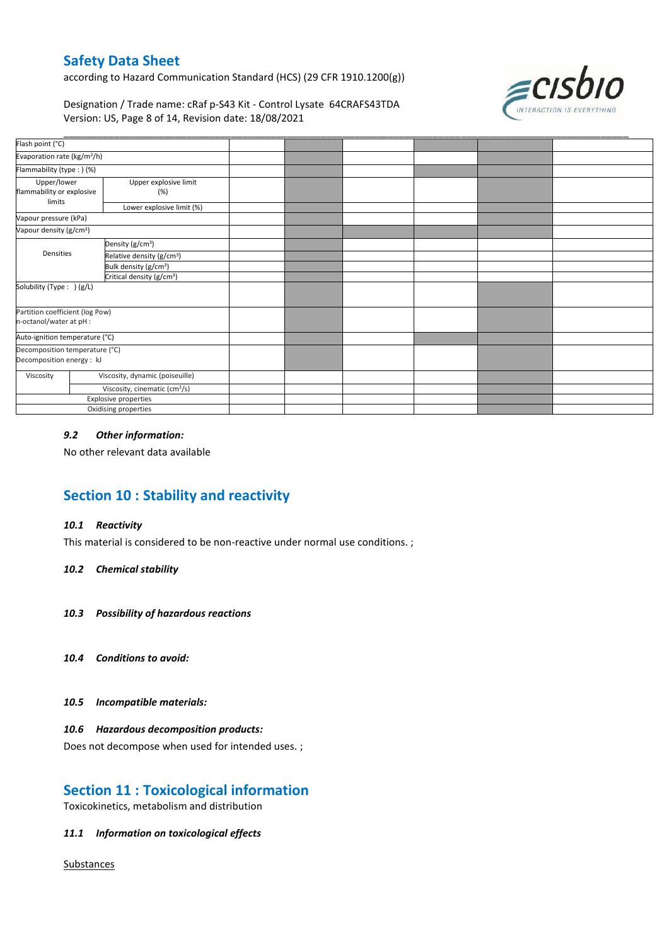according to Hazard Communication Standard (HCS) (29 CFR 1910.1200(g))



Designation / Trade name: cRaf p-S43 Kit - Control Lysate 64CRAFS43TDA Version: US, Page 8 of 14, Revision date: 18/08/2021

| Flash point (°C)                                   |                                           |  |  |  |
|----------------------------------------------------|-------------------------------------------|--|--|--|
| Evaporation rate (kg/m <sup>2</sup> /h)            |                                           |  |  |  |
| Flammability (type:) (%)                           |                                           |  |  |  |
| Upper/lower<br>flammability or explosive<br>limits | Upper explosive limit<br>(%)              |  |  |  |
|                                                    | Lower explosive limit (%)                 |  |  |  |
| Vapour pressure (kPa)                              |                                           |  |  |  |
| Vapour density (g/cm <sup>3</sup> )                |                                           |  |  |  |
|                                                    | Density (g/cm <sup>3</sup> )              |  |  |  |
| Densities                                          | Relative density (g/cm <sup>3</sup> )     |  |  |  |
|                                                    | Bulk density (g/cm <sup>3</sup> )         |  |  |  |
|                                                    | Critical density (g/cm <sup>3</sup> )     |  |  |  |
| Solubility (Type: ) (g/L)                          |                                           |  |  |  |
| Partition coefficient (log Pow)                    |                                           |  |  |  |
| n-octanol/water at pH :                            |                                           |  |  |  |
| Auto-ignition temperature (°C)                     |                                           |  |  |  |
| Decomposition temperature (°C)                     |                                           |  |  |  |
| Decomposition energy : kJ                          |                                           |  |  |  |
| Viscosity                                          | Viscosity, dynamic (poiseuille)           |  |  |  |
|                                                    | Viscosity, cinematic (cm <sup>3</sup> /s) |  |  |  |
|                                                    | Explosive properties                      |  |  |  |
|                                                    | Oxidising properties                      |  |  |  |

#### *9.2 Other information:*

No other relevant data available

# **Section 10 : Stability and reactivity**

#### *10.1 Reactivity*

This material is considered to be non-reactive under normal use conditions. ;

#### *10.2 Chemical stability*

- *10.3 Possibility of hazardous reactions*
- *10.4 Conditions to avoid:*
- *10.5 Incompatible materials:*

#### *10.6 Hazardous decomposition products:*

Does not decompose when used for intended uses. ;

# **Section 11 : Toxicological information**

Toxicokinetics, metabolism and distribution

#### *11.1 Information on toxicological effects*

**Substances**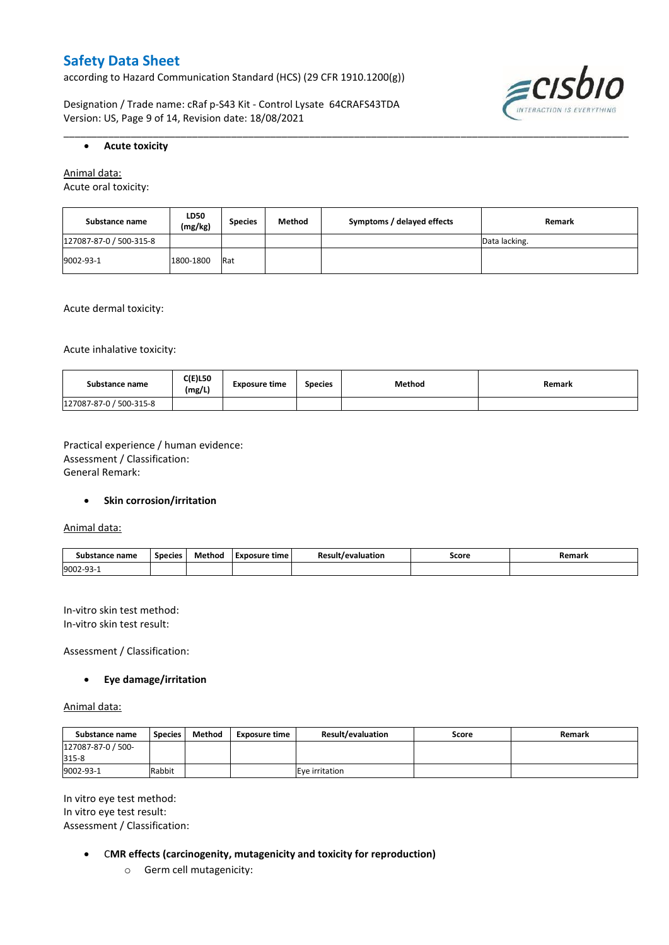according to Hazard Communication Standard (HCS) (29 CFR 1910.1200(g))

Designation / Trade name: cRaf p-S43 Kit - Control Lysate 64CRAFS43TDA Version: US, Page 9 of 14, Revision date: 18/08/2021



#### **Acute toxicity**

Animal data:

Acute oral toxicity:

| Substance name          | <b>LD50</b><br>(mg/kg) | <b>Species</b> | Method | Symptoms / delayed effects | Remark        |
|-------------------------|------------------------|----------------|--------|----------------------------|---------------|
| 127087-87-0 / 500-315-8 |                        |                |        |                            | Data lacking. |
| 9002-93-1               | 1800-1800              | Rat            |        |                            |               |

\_\_\_\_\_\_\_\_\_\_\_\_\_\_\_\_\_\_\_\_\_\_\_\_\_\_\_\_\_\_\_\_\_\_\_\_\_\_\_\_\_\_\_\_\_\_\_\_\_\_\_\_\_\_\_\_\_\_\_\_\_\_\_\_\_\_\_\_\_\_\_\_\_\_\_\_\_\_\_\_\_\_\_\_\_\_\_\_\_\_\_\_\_\_\_\_\_\_\_\_\_

Acute dermal toxicity:

Acute inhalative toxicity:

| Substance name          | <b>C(E)L50</b><br>(mg/L) | <b>Exposure time</b> | <b>Species</b> | <b>Method</b> | Remark |
|-------------------------|--------------------------|----------------------|----------------|---------------|--------|
| 127087-87-0 / 500-315-8 |                          |                      |                |               |        |

Practical experience / human evidence: Assessment / Classification: General Remark:

#### **•** Skin corrosion/irritation

Animal data:

| Substance name | <b>Species</b> | Method | - -<br>Exposure<br>time | Result<br>evaluation/ | Score | Remark |
|----------------|----------------|--------|-------------------------|-----------------------|-------|--------|
| 9002-93-1      |                |        |                         |                       |       |        |

In-vitro skin test method: In-vitro skin test result:

Assessment / Classification:

#### **Eye damage/irritation**

Animal data:

| Substance name     | <b>Species</b> | Method | Exposure time | <b>Result/evaluation</b> | Score | Remark |
|--------------------|----------------|--------|---------------|--------------------------|-------|--------|
| 127087-87-0 / 500- |                |        |               |                          |       |        |
| 315-8              |                |        |               |                          |       |        |
| 9002-93-1          | Rabbit         |        |               | Eve irritation           |       |        |

In vitro eye test method: In vitro eye test result: Assessment / Classification:

- C**MR effects (carcinogenity, mutagenicity and toxicity for reproduction)**
	- o Germ cell mutagenicity: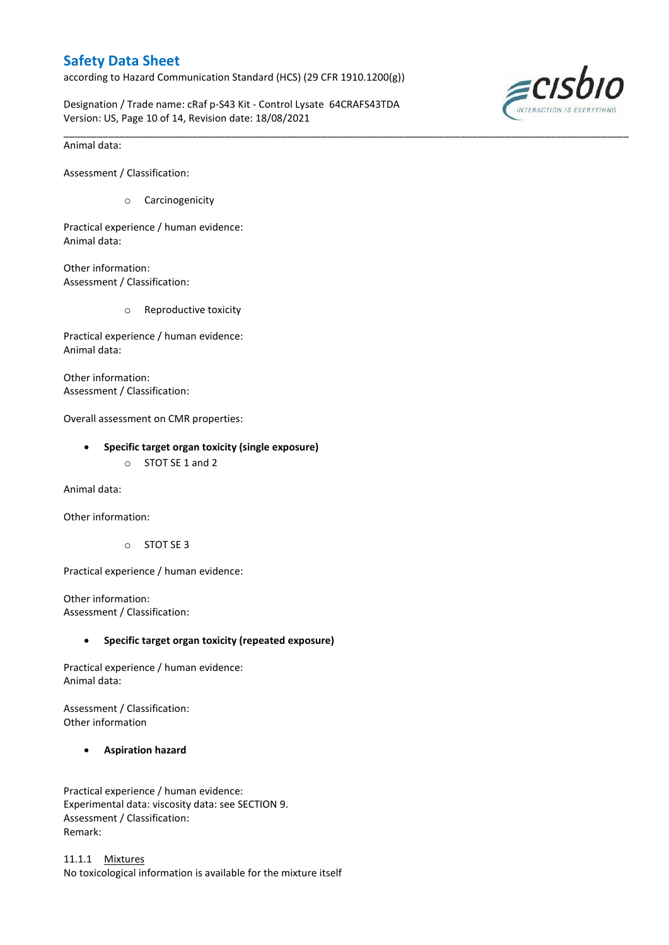according to Hazard Communication Standard (HCS) (29 CFR 1910.1200(g))

Designation / Trade name: cRaf p-S43 Kit - Control Lysate 64CRAFS43TDA Version: US, Page 10 of 14, Revision date: 18/08/2021

\_\_\_\_\_\_\_\_\_\_\_\_\_\_\_\_\_\_\_\_\_\_\_\_\_\_\_\_\_\_\_\_\_\_\_\_\_\_\_\_\_\_\_\_\_\_\_\_\_\_\_\_\_\_\_\_\_\_\_\_\_\_\_\_\_\_\_\_\_\_\_\_\_\_\_\_\_\_\_\_\_\_\_\_\_\_\_\_\_\_\_\_\_\_\_\_\_\_\_\_\_



Animal data:

Assessment / Classification:

o Carcinogenicity

Practical experience / human evidence: Animal data:

Other information: Assessment / Classification:

o Reproductive toxicity

Practical experience / human evidence: Animal data:

Other information: Assessment / Classification:

Overall assessment on CMR properties:

- **Specific target organ toxicity (single exposure)**
	- o STOT SE 1 and 2

Animal data:

Other information:

o STOT SE 3

Practical experience / human evidence:

Other information: Assessment / Classification:

#### **Specific target organ toxicity (repeated exposure)**

Practical experience / human evidence: Animal data:

Assessment / Classification: Other information

#### **Aspiration hazard**

Practical experience / human evidence: Experimental data: viscosity data: see SECTION 9. Assessment / Classification: Remark:

11.1.1 Mixtures No toxicological information is available for the mixture itself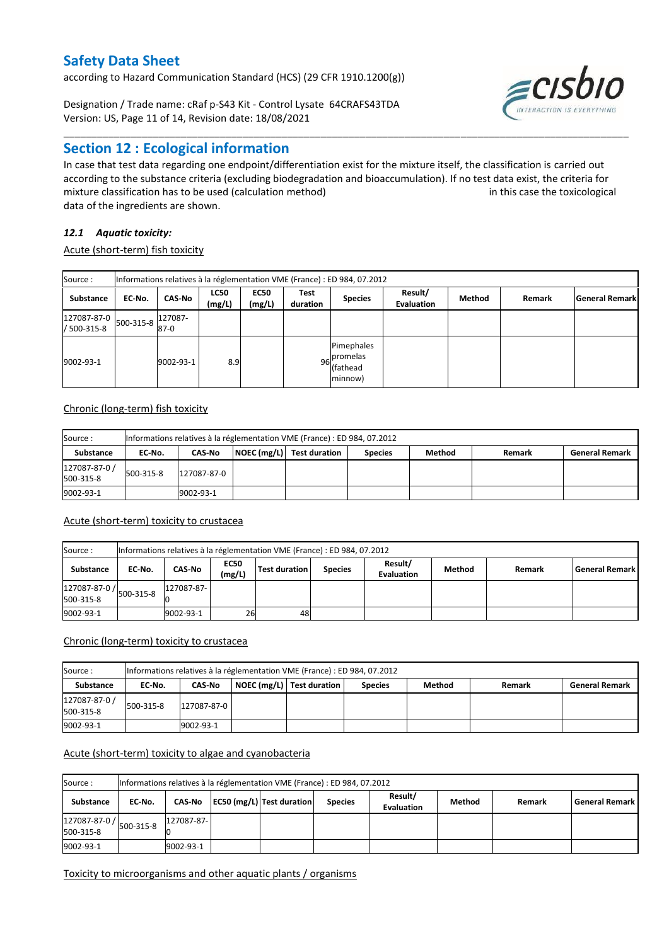according to Hazard Communication Standard (HCS) (29 CFR 1910.1200(g))

Designation / Trade name: cRaf p-S43 Kit - Control Lysate 64CRAFS43TDA Version: US, Page 11 of 14, Revision date: 18/08/2021

# **Section 12 : Ecological information**

In case that test data regarding one endpoint/differentiation exist for the mixture itself, the classification is carried out according to the substance criteria (excluding biodegradation and bioaccumulation). If no test data exist, the criteria for mixture classification has to be used (calculation method) in this case the toxicological data of the ingredients are shown.

\_\_\_\_\_\_\_\_\_\_\_\_\_\_\_\_\_\_\_\_\_\_\_\_\_\_\_\_\_\_\_\_\_\_\_\_\_\_\_\_\_\_\_\_\_\_\_\_\_\_\_\_\_\_\_\_\_\_\_\_\_\_\_\_\_\_\_\_\_\_\_\_\_\_\_\_\_\_\_\_\_\_\_\_\_\_\_\_\_\_\_\_\_\_\_\_\_\_\_\_\_

#### *12.1 Aquatic toxicity:*

Acute (short-term) fish toxicity

| Source:                                     | Informations relatives à la réglementation VME (France) : ED 984, 07.2012 |                   |                       |                       |                  |                                                    |                              |        |        |                       |  |  |
|---------------------------------------------|---------------------------------------------------------------------------|-------------------|-----------------------|-----------------------|------------------|----------------------------------------------------|------------------------------|--------|--------|-----------------------|--|--|
| Substance                                   | EC-No.                                                                    | CAS-No            | <b>LC50</b><br>(mg/L) | <b>EC50</b><br>(mg/L) | Test<br>duration | <b>Species</b>                                     | Result/<br><b>Evaluation</b> | Method | Remark | <b>General Remark</b> |  |  |
| $127087-87-0$ 500-315-8 $11$<br>/ 500-315-8 |                                                                           | 127087-<br>$87-0$ |                       |                       |                  |                                                    |                              |        |        |                       |  |  |
| 9002-93-1                                   |                                                                           | 9002-93-1         | 8.9                   |                       |                  | Pimephales<br>$96$ promelas<br>lfathead<br>minnow) |                              |        |        |                       |  |  |

#### Chronic (long-term) fish toxicity

| Source :                   | Informations relatives à la réglementation VME (France) : ED 984, 07.2012 |                                                                                                           |  |  |  |  |  |  |  |  |  |  |
|----------------------------|---------------------------------------------------------------------------|-----------------------------------------------------------------------------------------------------------|--|--|--|--|--|--|--|--|--|--|
| <b>Substance</b>           | EC No.                                                                    | NOEC (mg/L) Test duration<br>Method<br><b>CAS-No</b><br><b>Species</b><br><b>General Remark</b><br>Remark |  |  |  |  |  |  |  |  |  |  |
| 127087-87-0 /<br>500-315-8 | 500-315-8                                                                 | 127087-87-0                                                                                               |  |  |  |  |  |  |  |  |  |  |
| 9002-93-1                  |                                                                           | 9002-93-1                                                                                                 |  |  |  |  |  |  |  |  |  |  |

#### Acute (short-term) toxicity to crustacea

| Source:                                             | Informations relatives à la réglementation VME (France) : ED 984, 07.2012                                                 |            |    |    |  |  |  |  |                    |  |  |  |
|-----------------------------------------------------|---------------------------------------------------------------------------------------------------------------------------|------------|----|----|--|--|--|--|--------------------|--|--|--|
| Substance                                           | Result/<br><b>EC50</b><br>Test duration<br>Method<br>CAS-No<br><b>Species</b><br>EC No.<br>Remark<br>(mg/L)<br>Evaluation |            |    |    |  |  |  |  | l General Remark l |  |  |  |
| $127087 - 87 - 0$ /<br>500-315-8 $127$<br>500-315-8 |                                                                                                                           | 127087-87- |    |    |  |  |  |  |                    |  |  |  |
| 9002-93-1                                           |                                                                                                                           | 9002-93-1  | 26 | 48 |  |  |  |  |                    |  |  |  |

#### Chronic (long-term) toxicity to crustacea

| Source:                    |           | Informations relatives à la réglementation VME (France) : ED 984, 07.2012 |  |                             |                |        |        |                       |  |  |  |  |  |
|----------------------------|-----------|---------------------------------------------------------------------------|--|-----------------------------|----------------|--------|--------|-----------------------|--|--|--|--|--|
| Substance                  | EC No.    | <b>CAS No</b>                                                             |  | NOEC (mg/L)   Test duration | <b>Species</b> | Method | Remark | <b>General Remark</b> |  |  |  |  |  |
| 127087-87-0 /<br>500-315-8 | 500-315-8 | 127087-87-0                                                               |  |                             |                |        |        |                       |  |  |  |  |  |
| 9002-93-1                  |           | 9002-93-1                                                                 |  |                             |                |        |        |                       |  |  |  |  |  |

#### Acute (short-term) toxicity to algae and cyanobacteria

| Source:                    | Informations relatives à la réglementation VME (France) : ED 984, 07.2012 |            |  |                                  |                |                              |        |        |                       |  |  |  |
|----------------------------|---------------------------------------------------------------------------|------------|--|----------------------------------|----------------|------------------------------|--------|--------|-----------------------|--|--|--|
| Substance                  | EC No.                                                                    |            |  | CAS-No EC50 (mg/L) Test duration | <b>Species</b> | Result/<br><b>Evaluation</b> | Method | Remark | <b>General Remark</b> |  |  |  |
| 127087-87-0 /<br>500-315-8 | 500-315-8                                                                 | 127087-87- |  |                                  |                |                              |        |        |                       |  |  |  |
| 9002-93-1                  |                                                                           | 9002-93-1  |  |                                  |                |                              |        |        |                       |  |  |  |

#### Toxicity to microorganisms and other aquatic plants / organisms

 $\equiv$ cısbıc

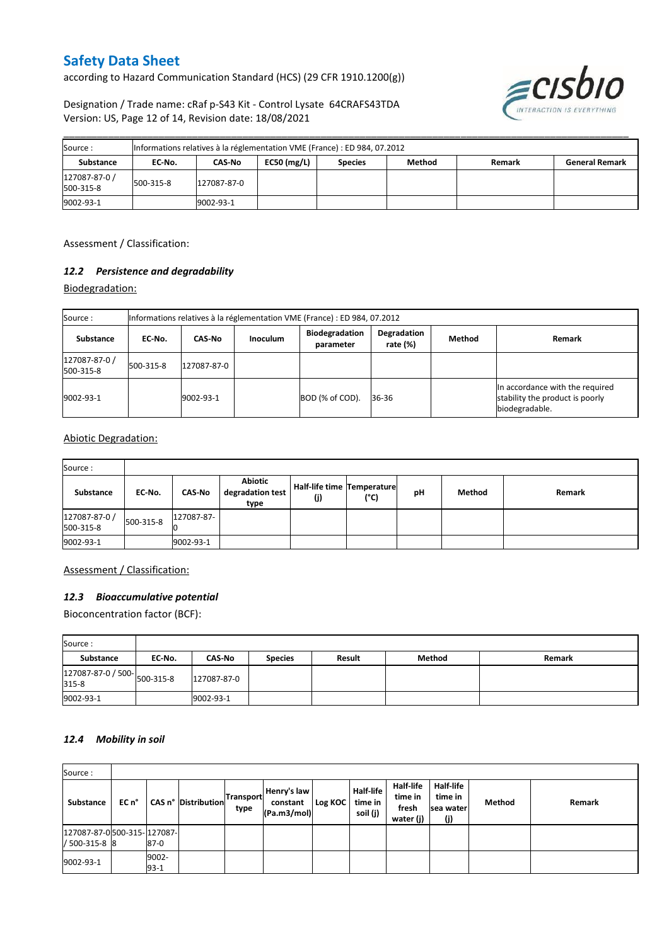according to Hazard Communication Standard (HCS) (29 CFR 1910.1200(g))

Designation / Trade name: cRaf p-S43 Kit - Control Lysate 64CRAFS43TDA Version: US, Page 12 of 14, Revision date: 18/08/2021



| Source:                    | Informations relatives à la réglementation VME (France) : ED 984, 07.2012 |             |               |                |               |        |                       |  |  |  |  |
|----------------------------|---------------------------------------------------------------------------|-------------|---------------|----------------|---------------|--------|-----------------------|--|--|--|--|
| Substance                  | EC-No.                                                                    | CAS-No      | $EC50$ (mg/L) | <b>Species</b> | <b>Method</b> | Remark | <b>General Remark</b> |  |  |  |  |
| 127087-87-0 /<br>500-315-8 | 500-315-8                                                                 | 127087-87-0 |               |                |               |        |                       |  |  |  |  |
| 9002-93-1                  |                                                                           | 9002-93-1   |               |                |               |        |                       |  |  |  |  |

\_\_\_\_\_\_\_\_\_\_\_\_\_\_\_\_\_\_\_\_\_\_\_\_\_\_\_\_\_\_\_\_\_\_\_\_\_\_\_\_\_\_\_\_\_\_\_\_\_\_\_\_\_\_\_\_\_\_\_\_\_\_\_\_\_\_\_\_\_\_\_\_\_\_\_\_\_\_\_\_\_\_\_\_\_\_\_\_\_\_\_\_\_\_\_\_\_\_\_\_\_

Assessment / Classification:

#### *12.2 Persistence and degradability*

Biodegradation:

| Source:                    |           | Informations relatives à la réglementation VME (France) : ED 984, 07.2012 |                 |                                    |                         |        |                                                                                      |  |  |
|----------------------------|-----------|---------------------------------------------------------------------------|-----------------|------------------------------------|-------------------------|--------|--------------------------------------------------------------------------------------|--|--|
| <b>Substance</b>           | EC No.    | <b>CAS-No</b>                                                             | <b>Inoculum</b> | <b>Biodegradation</b><br>parameter | Degradation<br>rate (%) | Method | Remark                                                                               |  |  |
| 127087-87-0 /<br>500-315-8 | 500-315-8 | 127087-87-0                                                               |                 |                                    |                         |        |                                                                                      |  |  |
| 9002-93-1                  |           | 9002-93-1                                                                 |                 | BOD (% of COD).                    | 36-36                   |        | In accordance with the required<br>stability the product is poorly<br>biodegradable. |  |  |

#### Abiotic Degradation:

| Source:                    |           |               |                                     |                                   |      |    |        |        |
|----------------------------|-----------|---------------|-------------------------------------|-----------------------------------|------|----|--------|--------|
| Substance                  | EC-No.    | <b>CAS-No</b> | Abiotic<br>degradation test<br>type | Half-life time Temperature<br>(i) | (°C) | pH | Method | Remark |
| 127087-87-0 /<br>500-315-8 | 500-315-8 | 127087-87-    |                                     |                                   |      |    |        |        |
| 9002-93-1                  |           | 9002-93-1     |                                     |                                   |      |    |        |        |

#### Assessment / Classification:

#### *12.3 Bioaccumulative potential*

Bioconcentration factor (BCF):

| Source:                              |        |               |                |        |        |        |
|--------------------------------------|--------|---------------|----------------|--------|--------|--------|
| Substance                            | EC No. | <b>CAS-No</b> | <b>Species</b> | Result | Method | Remark |
| 127087-87-0 / 500-<br>315-8<br>315-8 |        | 127087-87-0   |                |        |        |        |
| 9002-93-1                            |        | 9002-93-1     |                |        |        |        |

#### *12.4 Mobility in soil*

| Source:                                     |       |                 |                            |                   |                                        |         |                                  |                                                   |                                           |        |        |
|---------------------------------------------|-------|-----------------|----------------------------|-------------------|----------------------------------------|---------|----------------------------------|---------------------------------------------------|-------------------------------------------|--------|--------|
| Substance                                   | EC n° |                 | <b>CAS n° Distribution</b> | Transport<br>type | Henry's law<br>constant<br>(Pa.m3/mol) | Log KOC | Half-life<br>time in<br>soil (j) | <b>Half-life</b><br>time in<br>fresh<br>water (j) | Half-life<br>time in<br>Isea water<br>(j) | Method | Remark |
| 127087-87-0500-315-127087-<br>/ 500-315-8 8 |       | $87-0$          |                            |                   |                                        |         |                                  |                                                   |                                           |        |        |
| 9002-93-1                                   |       | 9002-<br>$93-1$ |                            |                   |                                        |         |                                  |                                                   |                                           |        |        |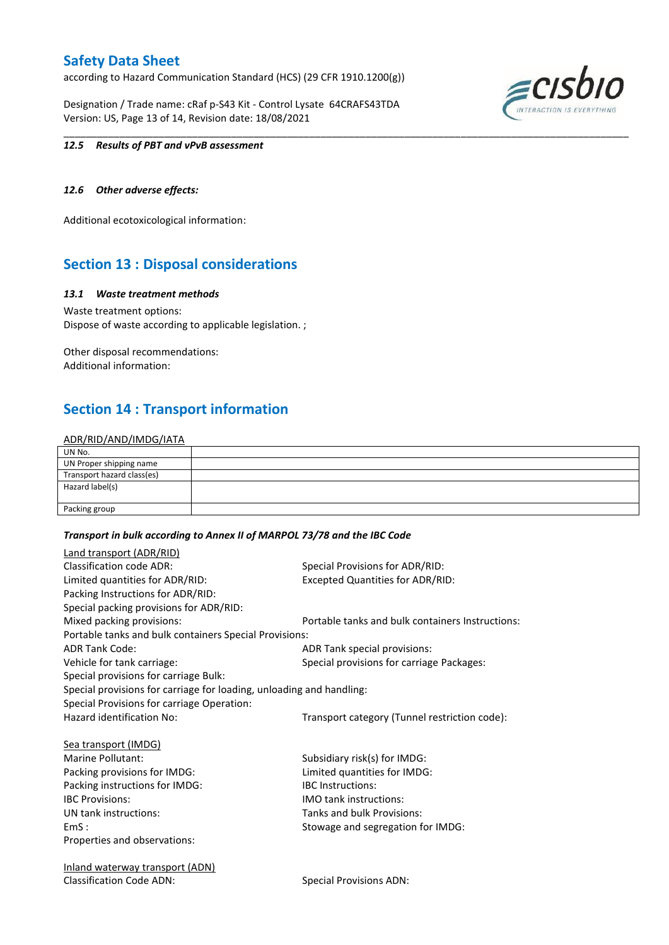according to Hazard Communication Standard (HCS) (29 CFR 1910.1200(g))

Designation / Trade name: cRaf p-S43 Kit - Control Lysate 64CRAFS43TDA Version: US, Page 13 of 14, Revision date: 18/08/2021



#### *12.5 Results of PBT and vPvB assessment*

#### *12.6 Other adverse effects:*

Additional ecotoxicological information:

# **Section 13 : Disposal considerations**

#### *13.1 Waste treatment methods*

Waste treatment options: Dispose of waste according to applicable legislation. ;

Other disposal recommendations: Additional information:

# **Section 14 : Transport information**

#### ADR/RID/AND/IMDG/IATA

| UN No.                     |  |
|----------------------------|--|
| UN Proper shipping name    |  |
| Transport hazard class(es) |  |
| Hazard label(s)            |  |
|                            |  |
| Packing group              |  |

\_\_\_\_\_\_\_\_\_\_\_\_\_\_\_\_\_\_\_\_\_\_\_\_\_\_\_\_\_\_\_\_\_\_\_\_\_\_\_\_\_\_\_\_\_\_\_\_\_\_\_\_\_\_\_\_\_\_\_\_\_\_\_\_\_\_\_\_\_\_\_\_\_\_\_\_\_\_\_\_\_\_\_\_\_\_\_\_\_\_\_\_\_\_\_\_\_\_\_\_\_

#### *Transport in bulk according to Annex II of MARPOL 73/78 and the IBC Code*

| <b>Land transport (ADR/RID)</b>                                      |                                                  |
|----------------------------------------------------------------------|--------------------------------------------------|
| <b>Classification code ADR:</b>                                      | Special Provisions for ADR/RID:                  |
| Limited quantities for ADR/RID:                                      | <b>Excepted Quantities for ADR/RID:</b>          |
| Packing Instructions for ADR/RID:                                    |                                                  |
| Special packing provisions for ADR/RID:                              |                                                  |
| Mixed packing provisions:                                            | Portable tanks and bulk containers Instructions: |
| Portable tanks and bulk containers Special Provisions:               |                                                  |
| <b>ADR Tank Code:</b>                                                | ADR Tank special provisions:                     |
| Vehicle for tank carriage:                                           | Special provisions for carriage Packages:        |
| Special provisions for carriage Bulk:                                |                                                  |
| Special provisions for carriage for loading, unloading and handling: |                                                  |
| Special Provisions for carriage Operation:                           |                                                  |
| Hazard identification No:                                            | Transport category (Tunnel restriction code):    |
| Sea transport (IMDG)                                                 |                                                  |
| Marine Pollutant:                                                    | Subsidiary risk(s) for IMDG:                     |
| Packing provisions for IMDG:                                         | Limited quantities for IMDG:                     |
| Packing instructions for IMDG:                                       | <b>IBC</b> Instructions:                         |
| <b>IBC Provisions:</b>                                               | <b>IMO tank instructions:</b>                    |
| UN tank instructions:                                                | Tanks and bulk Provisions:                       |
| EmS:                                                                 | Stowage and segregation for IMDG:                |
| Properties and observations:                                         |                                                  |
| <u>Inland waterway transport (ADN)</u>                               |                                                  |
| <b>Classification Code ADN:</b>                                      | <b>Special Provisions ADN:</b>                   |